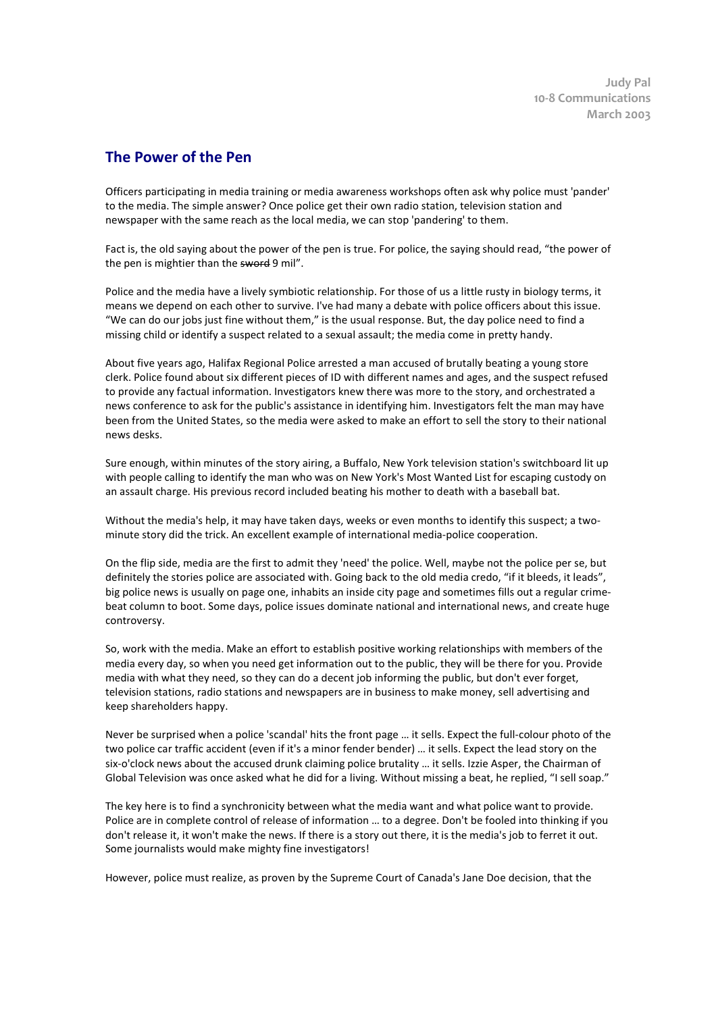**Judy Pal 10-8 Communications March 2003** 

## **The Power of the Pen**

Officers participating in media training or media awareness workshops often ask why police must 'pander' to the media. The simple answer? Once police get their own radio station, television station and newspaper with the same reach as the local media, we can stop 'pandering' to them.

Fact is, the old saying about the power of the pen is true. For police, the saying should read, "the power of the pen is mightier than the sword 9 mil".

Police and the media have a lively symbiotic relationship. For those of us a little rusty in biology terms, it means we depend on each other to survive. I've had many a debate with police officers about this issue. "We can do our jobs just fine without them," is the usual response. But, the day police need to find a missing child or identify a suspect related to a sexual assault; the media come in pretty handy.

About five years ago, Halifax Regional Police arrested a man accused of brutally beating a young store clerk. Police found about six different pieces of ID with different names and ages, and the suspect refused to provide any factual information. Investigators knew there was more to the story, and orchestrated a news conference to ask for the public's assistance in identifying him. Investigators felt the man may have been from the United States, so the media were asked to make an effort to sell the story to their national news desks.

Sure enough, within minutes of the story airing, a Buffalo, New York television station's switchboard lit up with people calling to identify the man who was on New York's Most Wanted List for escaping custody on an assault charge. His previous record included beating his mother to death with a baseball bat.

Without the media's help, it may have taken days, weeks or even months to identify this suspect; a twominute story did the trick. An excellent example of international media-police cooperation.

On the flip side, media are the first to admit they 'need' the police. Well, maybe not the police per se, but definitely the stories police are associated with. Going back to the old media credo, "if it bleeds, it leads", big police news is usually on page one, inhabits an inside city page and sometimes fills out a regular crimebeat column to boot. Some days, police issues dominate national and international news, and create huge controversy.

So, work with the media. Make an effort to establish positive working relationships with members of the media every day, so when you need get information out to the public, they will be there for you. Provide media with what they need, so they can do a decent job informing the public, but don't ever forget, television stations, radio stations and newspapers are in business to make money, sell advertising and keep shareholders happy.

Never be surprised when a police 'scandal' hits the front page … it sells. Expect the full-colour photo of the two police car traffic accident (even if it's a minor fender bender) … it sells. Expect the lead story on the six-o'clock news about the accused drunk claiming police brutality … it sells. Izzie Asper, the Chairman of Global Television was once asked what he did for a living. Without missing a beat, he replied, "I sell soap."

The key here is to find a synchronicity between what the media want and what police want to provide. Police are in complete control of release of information … to a degree. Don't be fooled into thinking if you don't release it, it won't make the news. If there is a story out there, it is the media's job to ferret it out. Some journalists would make mighty fine investigators!

However, police must realize, as proven by the Supreme Court of Canada's Jane Doe decision, that the